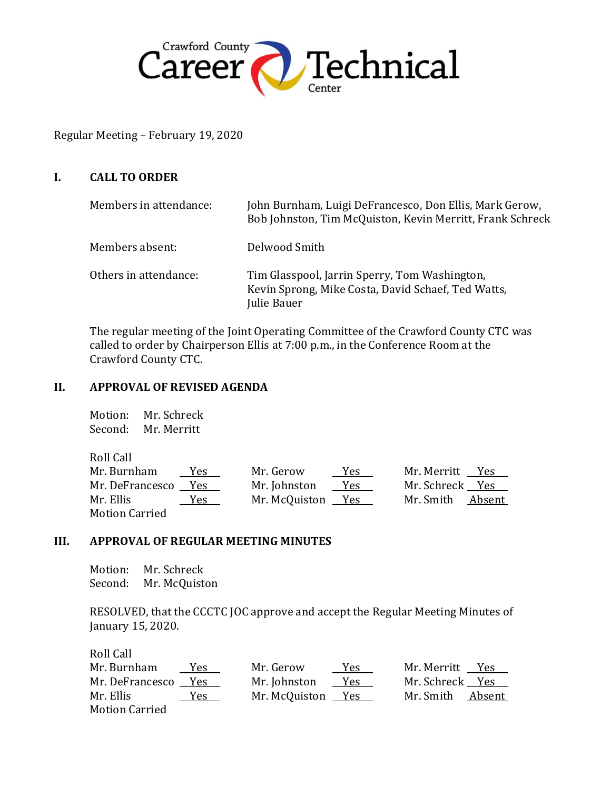

Regular Meeting – February 19, 2020

# **I. CALL TO ORDER**

| Members in attendance: | John Burnham, Luigi DeFrancesco, Don Ellis, Mark Gerow,<br>Bob Johnston, Tim McQuiston, Kevin Merritt, Frank Schreck |
|------------------------|----------------------------------------------------------------------------------------------------------------------|
| Members absent:        | Delwood Smith                                                                                                        |
| Others in attendance:  | Tim Glasspool, Jarrin Sperry, Tom Washington,<br>Kevin Sprong, Mike Costa, David Schaef, Ted Watts,<br>Julie Bauer   |

The regular meeting of the Joint Operating Committee of the Crawford County CTC was called to order by Chairperson Ellis at 7:00 p.m., in the Conference Room at the Crawford County CTC.

## **II. APPROVAL OF REVISED AGENDA**

Motion: Mr. Schreck Second: Mr. Merritt

Roll Call

| Mr. Burnham     | <u>Yes</u> | Mr. Gerow         | Yes  | Mr. Merritt Yes  |  |
|-----------------|------------|-------------------|------|------------------|--|
| Mr. DeFrancesco | Yes        | Mr. Johnston      | Y es | Mr. Schreck Yes  |  |
| Mr. Ellis       | Yes        | Mr. McQuiston Yes |      | Mr. Smith Absent |  |
| Motion Carried  |            |                   |      |                  |  |

## **III. APPROVAL OF REGULAR MEETING MINUTES**

Motion: Mr. Schreck Second: Mr. McQuiston

RESOLVED, that the CCCTC JOC approve and accept the Regular Meeting Minutes of January 15, 2020.

| Roll Call             |       |               |     |                 |        |
|-----------------------|-------|---------------|-----|-----------------|--------|
| Mr. Burnham           | Yes   | Mr. Gerow     | Yes | Mr. Merritt Yes |        |
| Mr. DeFrancesco       | - Yes | Mr. Johnston  | Yes | Mr. Schreck Yes |        |
| Mr. Ellis             | Yes   | Mr. McQuiston | Yes | Mr. Smith       | Absent |
| <b>Motion Carried</b> |       |               |     |                 |        |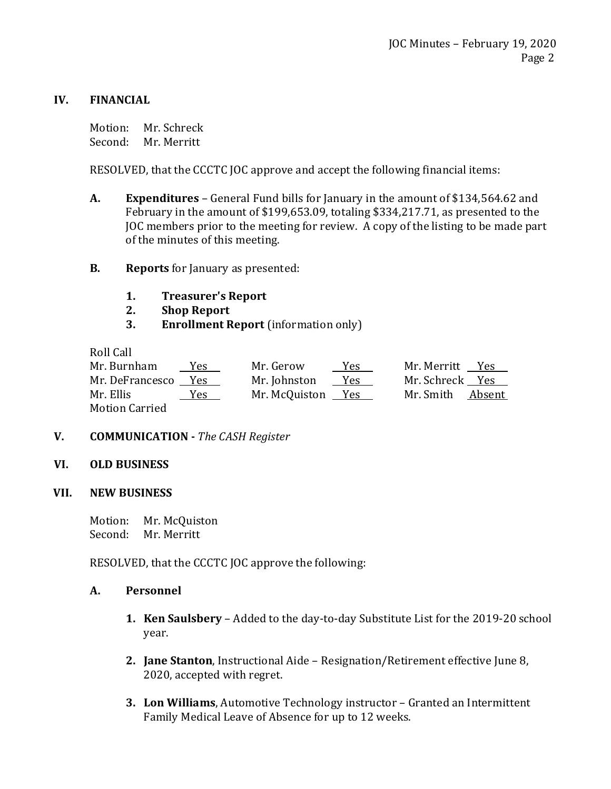# **IV. FINANCIAL**

Motion: Mr. Schreck Second: Mr. Merritt

RESOLVED, that the CCCTC JOC approve and accept the following financial items:

- **A. Expenditures** General Fund bills for January in the amount of \$134,564.62 and February in the amount of \$199,653.09, totaling \$334,217.71, as presented to the JOC members prior to the meeting for review. A copy of the listing to be made part of the minutes of this meeting.
- **B. Reports** for January as presented:
	- **1. Treasurer's Report**
	- **2. Shop Report**
	- **3. Enrollment Report** (information only)

Roll Call

| Mr. Burnham     | Yes   | Mr. Gerow     | Yes | Mr. Merritt     | Yes    |
|-----------------|-------|---------------|-----|-----------------|--------|
| Mr. DeFrancesco | - Yes | Mr. Johnston  | Yes | Mr. Schreck Yes |        |
| Mr. Ellis       | Yes   | Mr. McQuiston | Yes | Mr. Smith       | Absent |
| Motion Carried  |       |               |     |                 |        |

**V. COMMUNICATION -** *The CASH Register*

## **VI. OLD BUSINESS**

 **VII. NEW BUSINESS**

Motion: Mr. McQuiston Second: Mr. Merritt

RESOLVED, that the CCCTC JOC approve the following:

## **A. Personnel**

- **1. Ken Saulsbery**  Added to the day-to-day Substitute List for the 2019-20 school year.
- **2. Jane Stanton**, Instructional Aide Resignation/Retirement effective June 8, 2020, accepted with regret.
- **3. Lon Williams**, Automotive Technology instructor Granted an Intermittent Family Medical Leave of Absence for up to 12 weeks.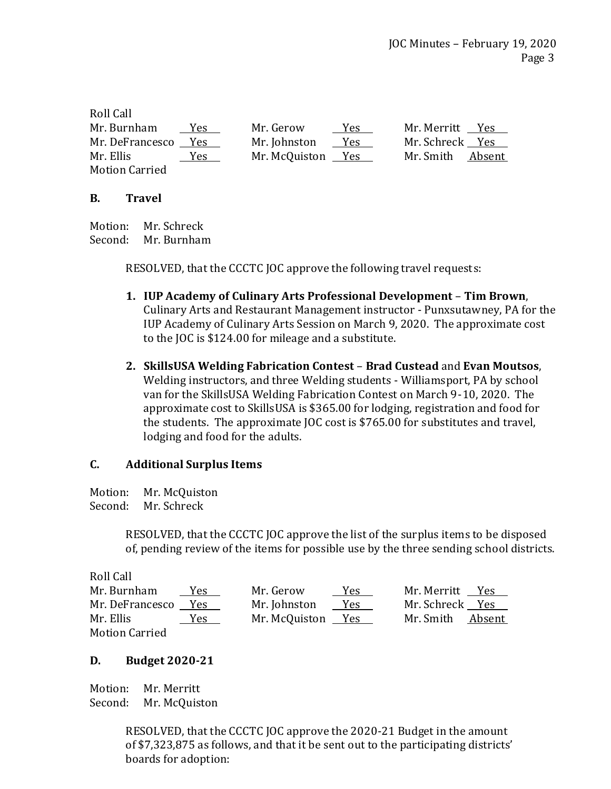| Roll Call             |            |               |            |                  |  |
|-----------------------|------------|---------------|------------|------------------|--|
| Mr. Burnham           | <b>Yes</b> | Mr. Gerow     | Yes.       | Mr. Merritt Yes  |  |
| Mr. DeFrancesco       | <b>Yes</b> | Mr. Johnston  | Yes        | Mr. Schreck Yes  |  |
| Mr. Ellis             | Yes        | Mr. McQuiston | <b>Yes</b> | Mr. Smith Absent |  |
| <b>Motion Carried</b> |            |               |            |                  |  |

# **B. Travel**

Motion: Mr. Schreck Second: Mr. Burnham

RESOLVED, that the CCCTC JOC approve the following travel requests:

- **1. IUP Academy of Culinary Arts Professional Development Tim Brown**, Culinary Arts and Restaurant Management instructor - Punxsutawney, PA for the IUP Academy of Culinary Arts Session on March 9, 2020. The approximate cost to the JOC is \$124.00 for mileage and a substitute.
- **2. SkillsUSA Welding Fabrication Contest Brad Custead** and **Evan Moutsos**, Welding instructors, and three Welding students - Williamsport, PA by school van for the SkillsUSA Welding Fabrication Contest on March 9-10, 2020. The approximate cost to SkillsUSA is \$365.00 for lodging, registration and food for the students. The approximate JOC cost is \$765.00 for substitutes and travel, lodging and food for the adults.

# **C. Additional Surplus Items**

Motion: Mr. McQuiston Second: Mr. Schreck

> RESOLVED, that the CCCTC JOC approve the list of the surplus items to be disposed of, pending review of the items for possible use by the three sending school districts.

Roll Call Mr. Burnham Yes Mr. Gerow Yes Mr. Merritt Yes Mr. DeFrancesco Yes Mr. Johnston Yes Mr. Schreck Yes Mr. Ellis Yes Mr. McQuiston Yes Mr. Smith Absent Motion Carried

# **D. Budget 2020-21**

Motion: Mr. Merritt Second: Mr. McQuiston

> RESOLVED, that the CCCTC JOC approve the 2020-21 Budget in the amount of \$7,323,875 as follows, and that it be sent out to the participating districts' boards for adoption: